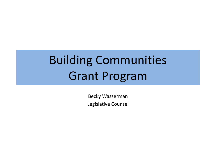# Building Communities Grant Program

Becky Wasserman Legislative Counsel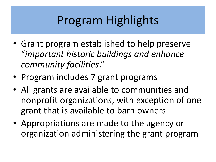## Program Highlights

- Grant program established to help preserve "*important historic buildings and enhance community facilities*."
- Program includes 7 grant programs
- All grants are available to communities and nonprofit organizations, with exception of one grant that is available to barn owners
- Appropriations are made to the agency or organization administering the grant program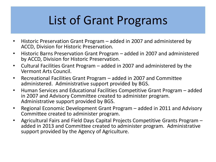### List of Grant Programs

- Historic Preservation Grant Program added in 2007 and administered by ACCD, Division for Historic Preservation.
- Historic Barns Preservation Grant Program added in 2007 and administered by ACCD, Division for Historic Preservation.
- Cultural Facilities Grant Program added in 2007 and administered by the Vermont Arts Council.
- Recreational Facilities Grant Program added in 2007 and Committee administered. Administrative support provided by BGS.
- Human Services and Educational Facilities Competitive Grant Program added in 2007 and Advisory Committee created to administer program. Administrative support provided by BGS.
- Regional Economic Development Grant Program added in 2011 and Advisory Committee created to administer program.
- Agricultural Fairs and Field Days Capital Projects Competitive Grants Program added in 2013 and Committee created to administer program. Administrative support provided by the Agency of Agriculture.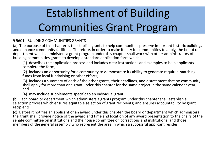## Establishment of Building Communities Grant Program

#### § 5601. BUILDING COMMUNITIES GRANTS

(a) The purpose of this chapter is to establish grants to help communities preserve important historic buildings and enhance community facilities. Therefore, in order to make it easy for communities to apply, the board or department which administers a grant program under this chapter shall work with other administrators of building communities grants to develop a standard application form which:

(1) describes the application process and includes clear instructions and examples to help applicants complete the form;

(2) includes an opportunity for a community to demonstrate its ability to generate required matching funds from local fundraising or other efforts;

(3) includes a summary of each of the other grants, their deadlines, and a statement that no community shall apply for more than one grant under this chapter for the same project in the same calendar year; and

(4) may include supplements specific to an individual grant.

(b) Each board or department which administers a grants program under this chapter shall establish a selection process which ensures equitable selection of grant recipients; and ensures accountability by grant recipients.

(c) Before it notifies an applicant of an award under this chapter, the board or department which administers the grant shall provide notice of the award and time and location of any award presentation to the chairs of the senate committee on institutions and the house committee on corrections and institutions, and those members of the general assembly who represent the area in which a successful applicant resides.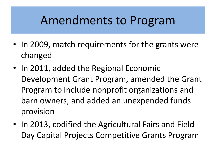### Amendments to Program

- In 2009, match requirements for the grants were changed
- In 2011, added the Regional Economic Development Grant Program, amended the Grant Program to include nonprofit organizations and barn owners, and added an unexpended funds provision
- In 2013, codified the Agricultural Fairs and Field Day Capital Projects Competitive Grants Program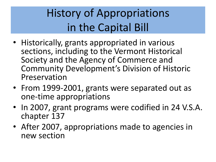### History of Appropriations in the Capital Bill

- Historically, grants appropriated in various sections, including to the Vermont Historical Society and the Agency of Commerce and Community Development's Division of Historic Preservation
- From 1999-2001, grants were separated out as one-time appropriations
- In 2007, grant programs were codified in 24 V.S.A. chapter 137
- After 2007, appropriations made to agencies in new section